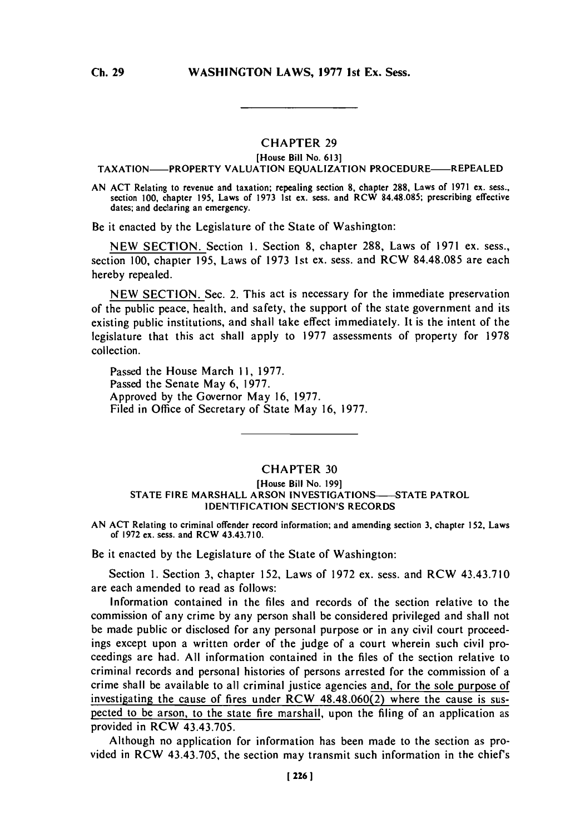## **CHAPTER 29**

#### **[House Bill No. 613]**

### TAXATION-PROPERTY **VALUATION EQUALIZATION PROCEDURE-REPEALED**

**AN ACT** Relating to revenue and taxation; repealing section **8,** chapter **288,** Laws of **1971 ex. sess., section 100,** chapter **195,** Laws of **1973 1st ex. sess.** and **RCW 84.48.085;** prescribing effective dates; and declaring an emergency.

Be it enacted **by** the Legislature of the State of Washington:

**NEW SECTION.** Section **1.** Section **8,** chapter **288,** Laws of **1971** ex. sess., section **100,** chapter **195,** Laws of **1973** 1st ex. sess. and RCW **84.48.085** are each hereby repealed.

**NEW SECTION.** Sec. 2. This act is necessary for the immediate preservation of the public peace, health, and safety, the support of the state government and its existing public institutions, and shall take effect immediately. It is the intent of the legislature that this act shall apply to **1977** assessments of property for **1978** collection.

Passed the House March **11, 1977.** Passed the Senate May **6, 1977.** Approved **by** the Governor May **16, 1977.** Filed in Office of Secretary of State May **16, 1977.**

## CHAPTER **30**

#### **[House Bill No. 199] STATE FIRE MARSHALL ARSON INVESTIGATIONS-STATE PATROL IDENTIFICATION SECTION'S RECORDS**

**AN ACT** Relating **to** criminal **offender** record information; and amending **section 3,** chapter **152, Laws** of **1972** ex. **sess. and RCW 43.43.7 10.**

Be it enacted **by** the Legislature of the State of Washington:

Section **1.** Section **3,** chapter **152,** Laws of **1972** ex. sess. and RCW 43.43.7 10 are each amended to read as follows:

Information contained in the files and records of the section relative to the commission of any crime **by** any person shall be considered privileged and shall not be made public or disclosed for any personal purpose or in any civil court proceedings except upon a written order of the judge of a court wherein such civil proceedings are had. **All** information contained in the files of the section relative to criminal records and personal histories of persons arrested for the commission of a crime shall be available to all criminal justice agencies and, for the sole purpose of investigating the cause of fires under RCW 48.48.060(2) where the cause is suspected to be arson, to the state fire marshall, upon the filing of an application as provided in RCW 43.43.705.

Although no application for information has been made to the section as provided in RCW 43.43.705, the section may transmit such information in the chiefs